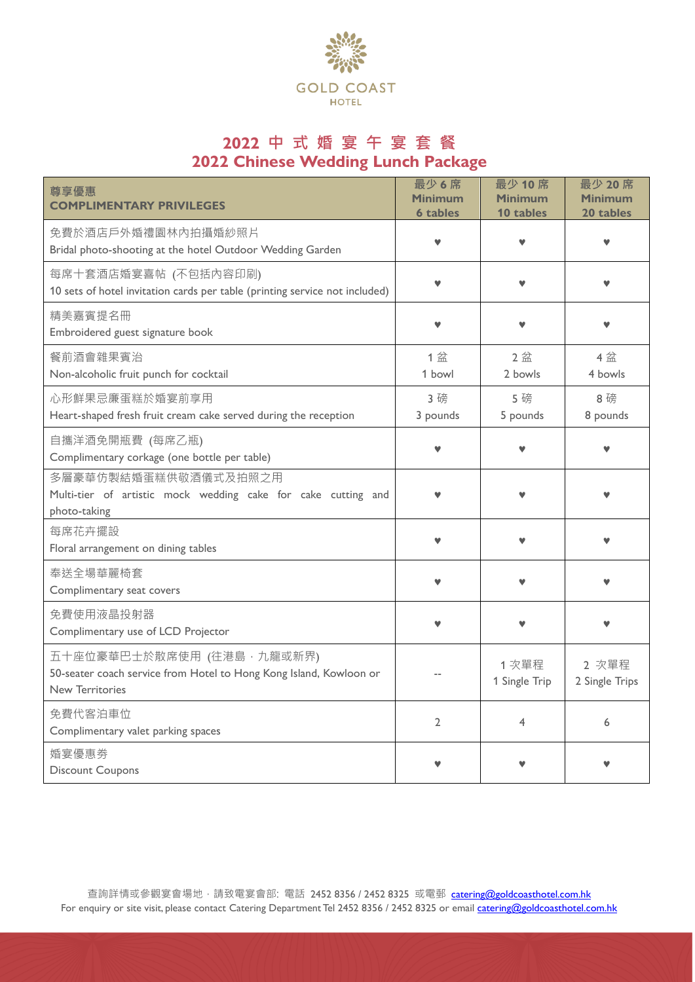

# **2022 中 式 婚 宴 午 宴 套 餐 2022 Chinese Wedding Lunch Package**

| 尊享優惠<br><b>COMPLIMENTARY PRIVILEGES</b>                                                                                   | 最少6席<br><b>Minimum</b><br><b>6 tables</b> | 最少 10席<br><b>Minimum</b><br>10 tables | 最少 20席<br><b>Minimum</b><br>20 tables |
|---------------------------------------------------------------------------------------------------------------------------|-------------------------------------------|---------------------------------------|---------------------------------------|
| 免費於酒店戶外婚禮園林內拍攝婚紗照片<br>Bridal photo-shooting at the hotel Outdoor Wedding Garden                                           | v                                         |                                       |                                       |
| 每席十套酒店婚宴喜帖 (不包括內容印刷)<br>10 sets of hotel invitation cards per table (printing service not included)                       |                                           |                                       |                                       |
| 精美嘉賓提名冊<br>Embroidered guest signature book                                                                               |                                           |                                       |                                       |
| 餐前酒會雜果賓治<br>Non-alcoholic fruit punch for cocktail                                                                        | 1盆<br>1 bowl                              | 2盆<br>2 bowls                         | 4 盆<br>4 bowls                        |
| 心形鮮果忌廉蛋糕於婚宴前享用<br>Heart-shaped fresh fruit cream cake served during the reception                                         | 3 磅<br>3 pounds                           | 5 磅<br>5 pounds                       | 8磅<br>8 pounds                        |
| 自攜洋酒免開瓶費 (每席乙瓶)<br>Complimentary corkage (one bottle per table)                                                           | v                                         |                                       |                                       |
| 多層豪華仿製結婚蛋糕供敬酒儀式及拍照之用<br>Multi-tier of artistic mock wedding cake for cake cutting and<br>photo-taking                     |                                           |                                       |                                       |
| 每席花卉擺設<br>Floral arrangement on dining tables                                                                             |                                           |                                       |                                       |
| 奉送全場華麗椅套<br>Complimentary seat covers                                                                                     |                                           |                                       |                                       |
| 免費使用液晶投射器<br>Complimentary use of LCD Projector                                                                           |                                           |                                       |                                       |
| 五十座位豪華巴士於散席使用 (往港島,九龍或新界)<br>50-seater coach service from Hotel to Hong Kong Island, Kowloon or<br><b>New Territories</b> |                                           | 1次單程<br>1 Single Trip                 | 2 次單程<br>2 Single Trips               |
| 免費代客泊車位<br>Complimentary valet parking spaces                                                                             | $\overline{2}$                            | 4                                     | 6                                     |
| 婚宴優惠劵<br><b>Discount Coupons</b>                                                                                          |                                           |                                       |                                       |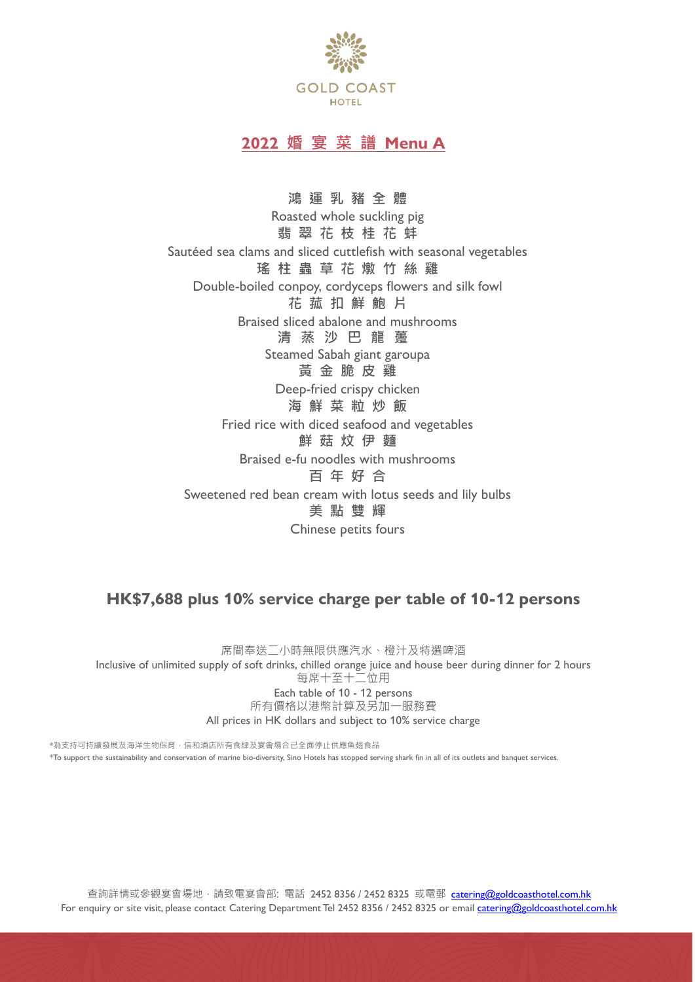

## **2022 婚 宴 菜 譜 Menu A**

**鴻 運 乳 豬 全 體** Roasted whole suckling pig **翡 翠 花 枝 桂 花 蚌** Sautéed sea clams and sliced cuttlefish with seasonal vegetables **瑤 柱 蟲 草 花 燉 竹 絲 雞** Double-boiled conpoy, cordyceps flowers and silk fowl **花 菰 扣 鮮 鮑 片** Braised sliced abalone and mushrooms **清 蒸 沙 巴 龍 躉** Steamed Sabah giant garoupa **黃 金 脆 皮 雞** Deep-fried crispy chicken **海 鮮 菜 粒 炒 飯** Fried rice with diced seafood and vegetables **鮮 菇 炆 伊 麵** Braised e-fu noodles with mushrooms **百 年 好 合** Sweetened red bean cream with lotus seeds and lily bulbs **美 點 雙 輝** Chinese petits fours

### **HK\$7,688 plus 10% service charge per table of 10-12 persons**

席間奉送二小時無限供應汽水、橙汁及特選啤酒 Inclusive of unlimited supply of soft drinks, chilled orange juice and house beer during dinner for 2 hours 每席十至十二位用 Each table of 10 - 12 persons 所有價格以港幣計算及另加一服務費 All prices in HK dollars and subject to 10% service charge

\*為支持可持續發展及海洋生物保育,信和酒店所有食肆及宴會場合已全面停止供應魚翅食品 \*To support the sustainability and conservation of marine bio-diversity, Sino Hotels has stopped serving shark fin in all of its outlets and banquet services.

查詢詳情或參觀宴會場地,請致電宴會部: 電話 2452 8356 / 2452 8325 或電郵 [catering@goldcoasthotel.com.hk](mailto:catering@goldcoasthotel.com.hk) For enquiry or site visit, please contact Catering Department Tel 2452 8356 / 2452 8325 or email [catering@goldcoasthotel.com.hk](mailto:catering@goldcoasthotel.com.hk)